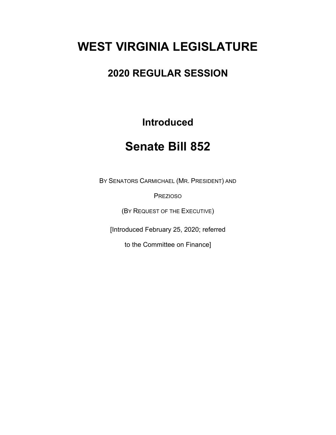# **WEST VIRGINIA LEGISLATURE**

### **2020 REGULAR SESSION**

#### **Introduced**

## **Senate Bill 852**

BY SENATORS CARMICHAEL (MR. PRESIDENT) AND

PREZIOSO

(BY REQUEST OF THE EXECUTIVE)

[Introduced February 25, 2020; referred

to the Committee on Finance]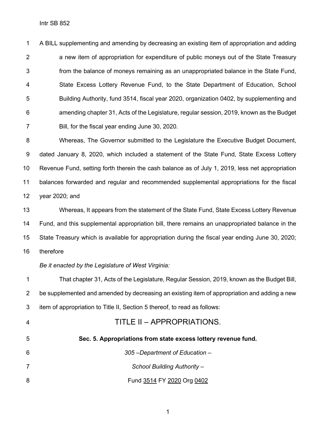A BILL supplementing and amending by decreasing an existing item of appropriation and adding a new item of appropriation for expenditure of public moneys out of the State Treasury from the balance of moneys remaining as an unappropriated balance in the State Fund, State Excess Lottery Revenue Fund, to the State Department of Education, School Building Authority, fund 3514, fiscal year 2020, organization 0402, by supplementing and amending chapter 31, Acts of the Legislature, regular session, 2019, known as the Budget Bill, for the fiscal year ending June 30, 2020.

 Whereas, The Governor submitted to the Legislature the Executive Budget Document, dated January 8, 2020, which included a statement of the State Fund, State Excess Lottery Revenue Fund, setting forth therein the cash balance as of July 1, 2019, less net appropriation balances forwarded and regular and recommended supplemental appropriations for the fiscal year 2020; and

 Whereas, It appears from the statement of the State Fund, State Excess Lottery Revenue Fund, and this supplemental appropriation bill, there remains an unappropriated balance in the State Treasury which is available for appropriation during the fiscal year ending June 30, 2020; therefore

#### *Be it enacted by the Legislature of West Virginia:*

 That chapter 31, Acts of the Legislature, Regular Session, 2019, known as the Budget Bill, 2 be supplemented and amended by decreasing an existing item of appropriation and adding a new item of appropriation to Title II, Section 5 thereof, to read as follows: TITLE II – APPROPRIATIONS. **Sec. 5. Appropriations from state excess lottery revenue fund.** *305 –Department of Education – School Building Authority –* 8 Fund 3514 FY 2020 Org 0402